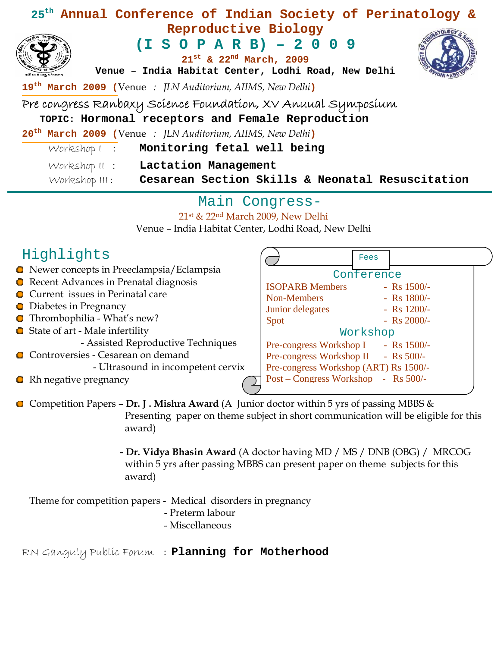| 25 <sup>th</sup> Annual Conference of Indian Society of Perinatology &                                                  |
|-------------------------------------------------------------------------------------------------------------------------|
| Reproductive Biology                                                                                                    |
| $(I S O P A R B) - 2 0 0 9$<br>$21^{st}$ & $22^{nd}$ March, 2009<br>Venue - India Habitat Center, Lodhi Road, New Delhi |
| 19 <sup>th</sup> March 2009 (Venue: JLN Auditorium, AIIMS, New Delhi)                                                   |
| Pre congress Ranbaxy Science Foundation, XV Anuual Symposium                                                            |
| TOPIC: Hormonal receptors and Female Reproduction                                                                       |
| 20 <sup>th</sup> March 2009 (Venue: JLN Auditorium, AIIMS, New Delhi)                                                   |
| Workshop ! : Monitoring fetal well being                                                                                |
| Workshop II : Lactation Management<br>Workshop III: Cesarean Section Skills & Neonatal Resuscitation                    |

### Main Congress-

#### 21st & 22nd March 2009, New Delhi

Venue – India Habitat Center, Lodhi Road, New Delhi

|  | Highlights |
|--|------------|
|--|------------|

Newer concepts in Preeclampsia/Eclampsia Conference **C** Recent Advances in Prenatal diagnosis ISOPARB Members - Rs 1500/-**C** Current issues in Perinatal care Non-Members - Rs 1800/-**Diabetes in Pregnancy** Junior delegates - Rs 1200/-Thrombophilia - What's new?  $Spot$  - Rs 2000/-**■** State of art - Male infertility Workshop - Assisted Reproductive Techniques Pre-congress Workshop I - Rs 1500/-Controversies - Cesarean on demand Pre-congress Workshop II - Rs 500/-O - Ultrasound in incompetent cervix Pre-congress Workshop (ART) Rs 1500/- Post – Congress Workshop - Rs 500/- **C** Rh negative pregnancy

Competition Papers – **Dr. J . Mishra Award** (A Junior doctor within 5 yrs of passing MBBS & Presenting paper on theme subject in short communication will be eligible for this award)

> **- Dr. Vidya Bhasin Award** (A doctor having MD / MS / DNB (OBG) / MRCOG within 5 yrs after passing MBBS can present paper on theme subjects for this award)

Fees

Theme for competition papers - Medical disorders in pregnancy

- Preterm labour
- Miscellaneous

RN Ganguly Public Forum : **Planning for Motherhood**